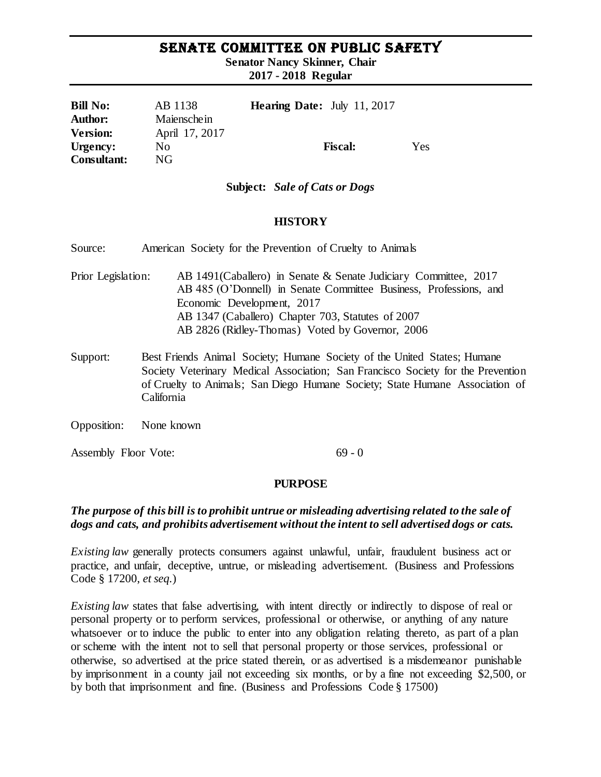# SENATE COMMITTEE ON PUBLIC SAFETY

**Senator Nancy Skinner, Chair**

**2017 - 2018 Regular** 

| <b>Bill No:</b>    | AB 1138        | <b>Hearing Date:</b> July 11, 2017 |     |
|--------------------|----------------|------------------------------------|-----|
| <b>Author:</b>     | Maienschein    |                                    |     |
| <b>Version:</b>    | April 17, 2017 |                                    |     |
| Urgency:           | No             | <b>Fiscal:</b>                     | Yes |
| <b>Consultant:</b> | NG             |                                    |     |

#### **Subject:** *Sale of Cats or Dogs*

#### **HISTORY**

Source: American Society for the Prevention of Cruelty to Animals

- Prior Legislation: AB 1491(Caballero) in Senate & Senate Judiciary Committee, 2017 AB 485 (O'Donnell) in Senate Committee Business, Professions, and Economic Development, 2017 AB 1347 (Caballero) Chapter 703, Statutes of 2007 AB 2826 (Ridley-Thomas) Voted by Governor, 2006
- Support: Best Friends Animal Society; Humane Society of the United States; Humane Society Veterinary Medical Association; San Francisco Society for the Prevention of Cruelty to Animals; San Diego Humane Society; State Humane Association of California
- Opposition: None known

Assembly Floor Vote: 69 - 0

### **PURPOSE**

### *The purpose of this bill is to prohibit untrue or misleading advertising related to the sale of dogs and cats, and prohibits advertisement without the intent to sell advertised dogs or cats.*

*Existing law* generally protects consumers against unlawful, unfair, fraudulent business act or practice, and unfair, deceptive, untrue, or misleading advertisement. (Business and Professions Code § 17200, *et seq.*)

*Existing law* states that false advertising, with intent directly or indirectly to dispose of real or personal property or to perform services, professional or otherwise, or anything of any nature whatsoever or to induce the public to enter into any obligation relating thereto, as part of a plan or scheme with the intent not to sell that personal property or those services, professional or otherwise, so advertised at the price stated therein, or as advertised is a misdemeanor punishable by imprisonment in a county jail not exceeding six months, or by a fine not exceeding \$2,500, or by both that imprisonment and fine. (Business and Professions Code § 17500)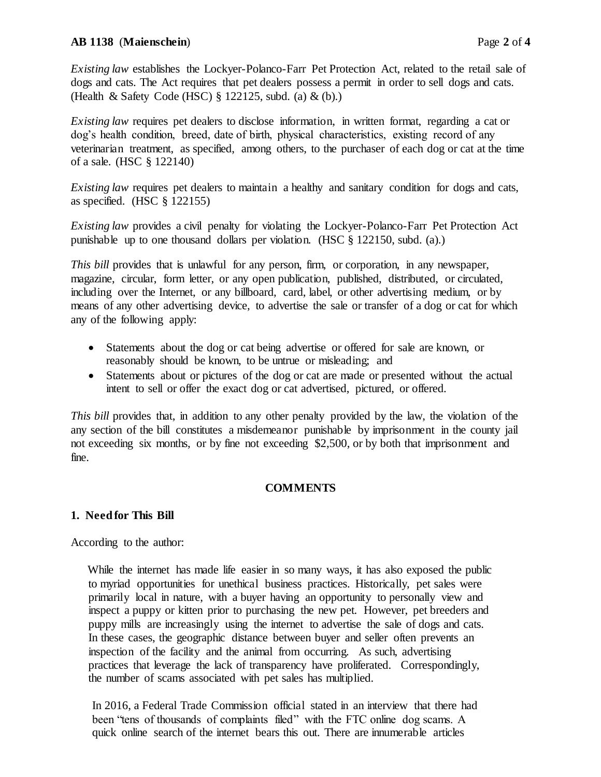## **AB 1138** (**Maienschein**) Page **2** of **4**

*Existing law* establishes the Lockyer-Polanco-Farr Pet Protection Act, related to the retail sale of dogs and cats. The Act requires that pet dealers possess a permit in order to sell dogs and cats. (Health & Safety Code (HSC) § 122125, subd. (a) & (b).)

*Existing law requires pet dealers to disclose information, in written format, regarding a cat or* dog's health condition, breed, date of birth, physical characteristics, existing record of any veterinarian treatment, as specified, among others, to the purchaser of each dog or cat at the time of a sale. (HSC § 122140)

*Existing law requires pet dealers to maintain a healthy and sanitary condition for dogs and cats,* as specified. (HSC § 122155)

*Existing law* provides a civil penalty for violating the Lockyer-Polanco-Farr Pet Protection Act punishable up to one thousand dollars per violation. (HSC § 122150, subd. (a).)

*This bill* provides that is unlawful for any person, firm, or corporation, in any newspaper, magazine, circular, form letter, or any open publication, published, distributed, or circulated, including over the Internet, or any billboard, card, label, or other advertising medium, or by means of any other advertising device, to advertise the sale or transfer of a dog or cat for which any of the following apply:

- Statements about the dog or cat being advertise or offered for sale are known, or reasonably should be known, to be untrue or misleading; and
- Statements about or pictures of the dog or cat are made or presented without the actual intent to sell or offer the exact dog or cat advertised, pictured, or offered.

*This bill* provides that, in addition to any other penalty provided by the law, the violation of the any section of the bill constitutes a misdemeanor punishable by imprisonment in the county jail not exceeding six months, or by fine not exceeding \$2,500, or by both that imprisonment and fine.

# **COMMENTS**

### **1. Need for This Bill**

According to the author:

While the internet has made life easier in so many ways, it has also exposed the public to myriad opportunities for unethical business practices. Historically, pet sales were primarily local in nature, with a buyer having an opportunity to personally view and inspect a puppy or kitten prior to purchasing the new pet. However, pet breeders and puppy mills are increasingly using the internet to advertise the sale of dogs and cats. In these cases, the geographic distance between buyer and seller often prevents an inspection of the facility and the animal from occurring. As such, advertising practices that leverage the lack of transparency have proliferated. Correspondingly, the number of scams associated with pet sales has multiplied.

In 2016, a Federal Trade Commission official stated in an interview that there had been "tens of thousands of complaints filed" with the FTC online dog scams. A quick online search of the internet bears this out. There are innumerable articles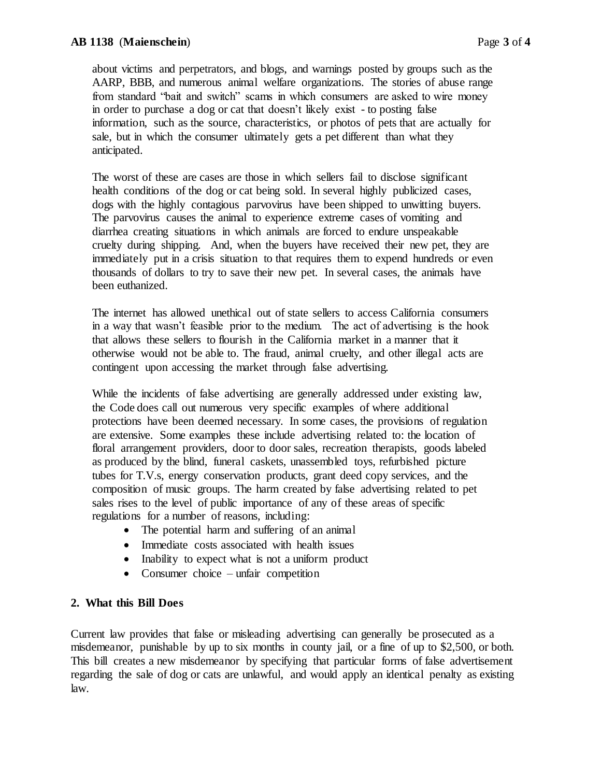about victims and perpetrators, and blogs, and warnings posted by groups such as the AARP, BBB, and numerous animal welfare organizations. The stories of abuse range from standard "bait and switch" scams in which consumers are asked to wire money in order to purchase a dog or cat that doesn't likely exist - to posting false information, such as the source, characteristics, or photos of pets that are actually for sale, but in which the consumer ultimately gets a pet different than what they anticipated.

The worst of these are cases are those in which sellers fail to disclose significant health conditions of the dog or cat being sold. In several highly publicized cases, dogs with the highly contagious parvovirus have been shipped to unwitting buyers. The parvovirus causes the animal to experience extreme cases of vomiting and diarrhea creating situations in which animals are forced to endure unspeakable cruelty during shipping. And, when the buyers have received their new pet, they are immediately put in a crisis situation to that requires them to expend hundreds or even thousands of dollars to try to save their new pet. In several cases, the animals have been euthanized.

The internet has allowed unethical out of state sellers to access California consumers in a way that wasn't feasible prior to the medium. The act of advertising is the hook that allows these sellers to flourish in the California market in a manner that it otherwise would not be able to. The fraud, animal cruelty, and other illegal acts are contingent upon accessing the market through false advertising.

While the incidents of false advertising are generally addressed under existing law, the Code does call out numerous very specific examples of where additional protections have been deemed necessary. In some cases, the provisions of regulation are extensive. Some examples these include advertising related to: the location of floral arrangement providers, door to door sales, recreation therapists, goods labeled as produced by the blind, funeral caskets, unassembled toys, refurbished picture tubes for T.V.s, energy conservation products, grant deed copy services, and the composition of music groups. The harm created by false advertising related to pet sales rises to the level of public importance of any of these areas of specific regulations for a number of reasons, including:

- The potential harm and suffering of an animal
- Immediate costs associated with health issues
- Inability to expect what is not a uniform product
- Consumer choice unfair competition

### **2. What this Bill Does**

Current law provides that false or misleading advertising can generally be prosecuted as a misdemeanor, punishable by up to six months in county jail, or a fine of up to \$2,500, or both. This bill creates a new misdemeanor by specifying that particular forms of false advertisement regarding the sale of dog or cats are unlawful, and would apply an identical penalty as existing law.